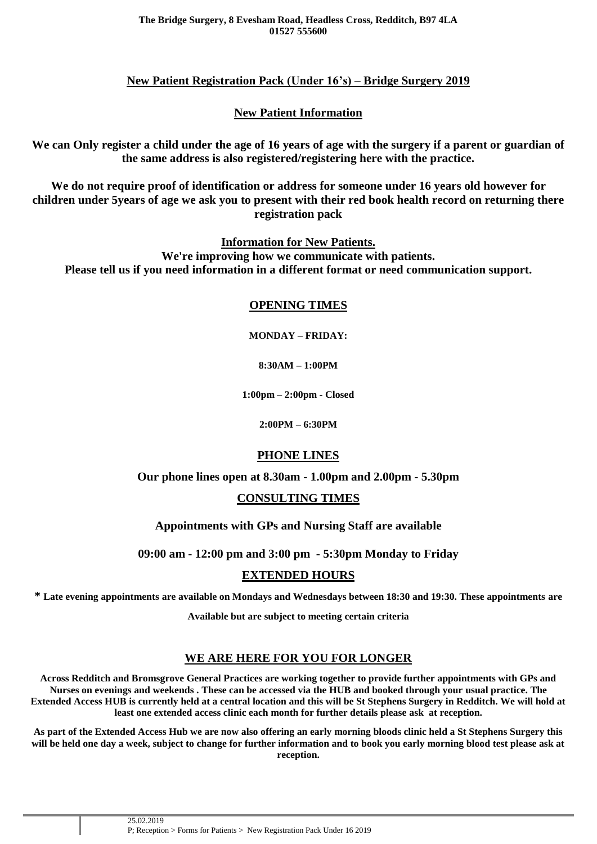## **New Patient Registration Pack (Under 16's) – Bridge Surgery 2019**

## **New Patient Information**

**We can Only register a child under the age of 16 years of age with the surgery if a parent or guardian of the same address is also registered/registering here with the practice.**

**We do not require proof of identification or address for someone under 16 years old however for children under 5years of age we ask you to present with their red book health record on returning there registration pack**

**Information for New Patients.**

**We're improving how we communicate with patients. Please tell us if you need information in a different format or need communication support.**

#### **OPENING TIMES**

**MONDAY – FRIDAY:**

**8:30AM – 1:00PM**

**1:00pm – 2:00pm - Closed**

**2:00PM – 6:30PM**

### **PHONE LINES**

**Our phone lines open at 8.30am - 1.00pm and 2.00pm - 5.30pm**

### **CONSULTING TIMES**

**Appointments with GPs and Nursing Staff are available**

**09:00 am - 12:00 pm and 3:00 pm - 5:30pm Monday to Friday**

### **EXTENDED HOURS**

**\* Late evening appointments are available on Mondays and Wednesdays between 18:30 and 19:30. These appointments are**

**Available but are subject to meeting certain criteria**

### **WE ARE HERE FOR YOU FOR LONGER**

**Across Redditch and Bromsgrove General Practices are working together to provide further appointments with GPs and Nurses on evenings and weekends . These can be accessed via the HUB and booked through your usual practice. The Extended Access HUB is currently held at a central location and this will be St Stephens Surgery in Redditch. We will hold at least one extended access clinic each month for further details please ask at reception.**

**As part of the Extended Access Hub we are now also offering an early morning bloods clinic held a St Stephens Surgery this will be held one day a week, subject to change for further information and to book you early morning blood test please ask at reception.**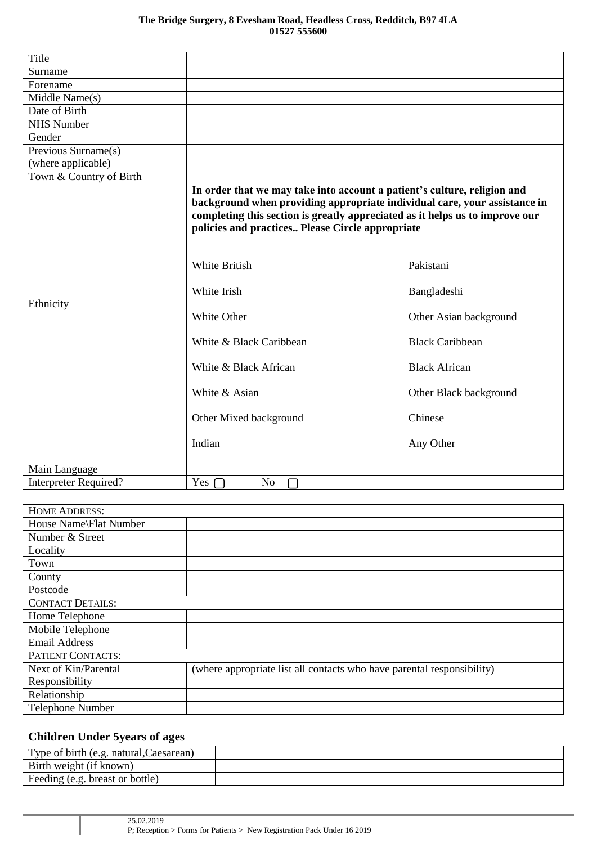| Title                                          |                                                                                                                                                                                                                                                                                           |                        |
|------------------------------------------------|-------------------------------------------------------------------------------------------------------------------------------------------------------------------------------------------------------------------------------------------------------------------------------------------|------------------------|
| Surname                                        |                                                                                                                                                                                                                                                                                           |                        |
| Forename                                       |                                                                                                                                                                                                                                                                                           |                        |
| Middle Name(s)                                 |                                                                                                                                                                                                                                                                                           |                        |
| Date of Birth                                  |                                                                                                                                                                                                                                                                                           |                        |
| <b>NHS Number</b>                              |                                                                                                                                                                                                                                                                                           |                        |
| Gender                                         |                                                                                                                                                                                                                                                                                           |                        |
| $\overline{\text{Previous } \text{Sumame(s)}}$ |                                                                                                                                                                                                                                                                                           |                        |
| (where applicable)                             |                                                                                                                                                                                                                                                                                           |                        |
| Town & Country of Birth                        |                                                                                                                                                                                                                                                                                           |                        |
|                                                | In order that we may take into account a patient's culture, religion and<br>background when providing appropriate individual care, your assistance in<br>completing this section is greatly appreciated as it helps us to improve our<br>policies and practices Please Circle appropriate |                        |
|                                                | <b>White British</b>                                                                                                                                                                                                                                                                      | Pakistani              |
| Ethnicity                                      | White Irish                                                                                                                                                                                                                                                                               | Bangladeshi            |
|                                                | White Other                                                                                                                                                                                                                                                                               | Other Asian background |
|                                                | White & Black Caribbean                                                                                                                                                                                                                                                                   | <b>Black Caribbean</b> |
|                                                | White & Black African                                                                                                                                                                                                                                                                     | <b>Black African</b>   |
|                                                | White & Asian                                                                                                                                                                                                                                                                             | Other Black background |
|                                                | Other Mixed background                                                                                                                                                                                                                                                                    | Chinese                |
|                                                | Indian                                                                                                                                                                                                                                                                                    | Any Other              |
| Main Language                                  |                                                                                                                                                                                                                                                                                           |                        |
| Interpreter Required?                          | Yes<br>No                                                                                                                                                                                                                                                                                 |                        |

| <b>HOME ADDRESS:</b>    |                                                                        |
|-------------------------|------------------------------------------------------------------------|
| House Name\Flat Number  |                                                                        |
| Number & Street         |                                                                        |
| Locality                |                                                                        |
| Town                    |                                                                        |
| County                  |                                                                        |
| Postcode                |                                                                        |
| <b>CONTACT DETAILS:</b> |                                                                        |
| Home Telephone          |                                                                        |
| Mobile Telephone        |                                                                        |
| <b>Email Address</b>    |                                                                        |
| PATIENT CONTACTS:       |                                                                        |
| Next of Kin/Parental    | (where appropriate list all contacts who have parental responsibility) |
| Responsibility          |                                                                        |
| Relationship            |                                                                        |
| <b>Telephone Number</b> |                                                                        |

# **Children Under 5years of ages**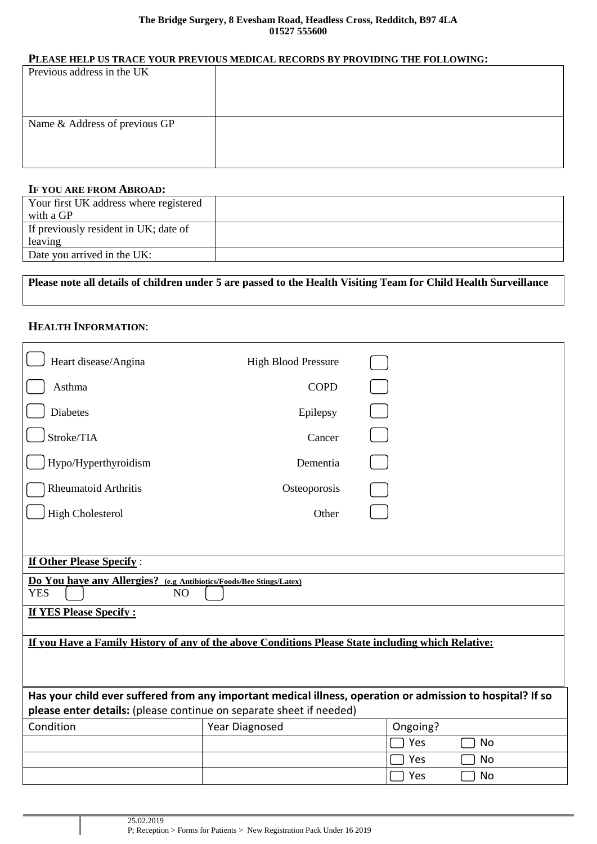#### **The Bridge Surgery, 8 Evesham Road, Headless Cross, Redditch, B97 4LA 01527 555600**

#### **PLEASE HELP US TRACE YOUR PREVIOUS MEDICAL RECORDS BY PROVIDING THE FOLLOWING:**

| Previous address in the UK    |  |
|-------------------------------|--|
|                               |  |
|                               |  |
|                               |  |
| Name & Address of previous GP |  |
|                               |  |
|                               |  |
|                               |  |

#### **IF YOU ARE FROM ABROAD:**

| Your first UK address where registered |  |
|----------------------------------------|--|
| with a GP                              |  |
| If previously resident in UK; date of  |  |
| leaving                                |  |
| Date you arrived in the UK:            |  |

# **Please note all details of children under 5 are passed to the Health Visiting Team for Child Health Surveillance**

# **HEALTH INFORMATION**:

| Heart disease/Angina                                                                               | <b>High Blood Pressure</b> |                                                                                                            |
|----------------------------------------------------------------------------------------------------|----------------------------|------------------------------------------------------------------------------------------------------------|
| Asthma                                                                                             | <b>COPD</b>                |                                                                                                            |
| <b>Diabetes</b>                                                                                    | Epilepsy                   |                                                                                                            |
| Stroke/TIA                                                                                         | Cancer                     |                                                                                                            |
| Hypo/Hyperthyroidism                                                                               | Dementia                   |                                                                                                            |
| <b>Rheumatoid Arthritis</b>                                                                        | Osteoporosis               |                                                                                                            |
| <b>High Cholesterol</b>                                                                            | Other                      |                                                                                                            |
|                                                                                                    |                            |                                                                                                            |
| <b>If Other Please Specify:</b>                                                                    |                            |                                                                                                            |
| Do You have any Allergies? (e.g Antibiotics/Foods/Bee Stings/Latex)<br><b>YES</b><br>NO            |                            |                                                                                                            |
| <b>If YES Please Specify:</b>                                                                      |                            |                                                                                                            |
| If you Have a Family History of any of the above Conditions Please State including which Relative: |                            |                                                                                                            |
|                                                                                                    |                            |                                                                                                            |
|                                                                                                    |                            |                                                                                                            |
| please enter details: (please continue on separate sheet if needed)                                |                            | Has your child ever suffered from any important medical illness, operation or admission to hospital? If so |
| Condition                                                                                          | Year Diagnosed             | Ongoing?                                                                                                   |
|                                                                                                    |                            | Yes<br><b>No</b>                                                                                           |
|                                                                                                    |                            | No<br>Yes                                                                                                  |
|                                                                                                    |                            | Yes<br>No                                                                                                  |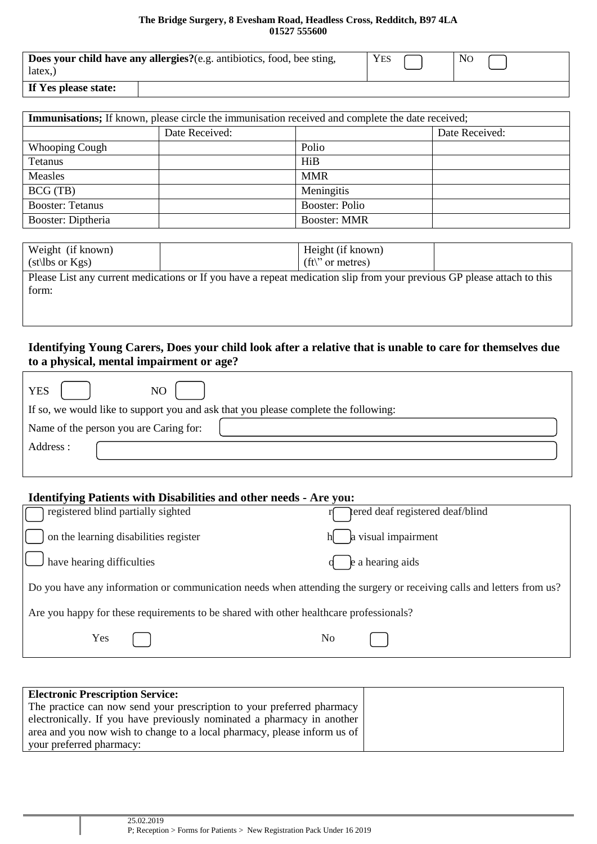#### **The Bridge Surgery, 8 Evesham Road, Headless Cross, Redditch, B97 4LA 01527 555600**

| Does your child have any allergies?(e.g. antibiotics, food, bee sting, | <b>YES</b> | No |
|------------------------------------------------------------------------|------------|----|
| $\text{later}$                                                         |            |    |
| $T^{\alpha}$                                                           |            |    |

|  | If Yes please state: |  |
|--|----------------------|--|
|--|----------------------|--|

|                         |                | <b>Immunisations;</b> If known, please circle the immunisation received and complete the date received; |                |
|-------------------------|----------------|---------------------------------------------------------------------------------------------------------|----------------|
|                         | Date Received: |                                                                                                         | Date Received: |
| <b>Whooping Cough</b>   |                | Polio                                                                                                   |                |
| Tetanus                 |                | HiB                                                                                                     |                |
| Measles                 |                | <b>MMR</b>                                                                                              |                |
| BCG(TB)                 |                | Meningitis                                                                                              |                |
| <b>Booster: Tetanus</b> |                | <b>Booster: Polio</b>                                                                                   |                |
| Booster: Diptheria      |                | <b>Booster: MMR</b>                                                                                     |                |

| Weight (if known)   | Height (if known)                                                                                                       |  |
|---------------------|-------------------------------------------------------------------------------------------------------------------------|--|
| $(st\,bs$ or $Kgs)$ | $({\rm ft}\rangle$ " or metres)                                                                                         |  |
|                     | Please List any current medications or If you have a repeat medication slip from your previous GP please attach to this |  |
| form:               |                                                                                                                         |  |

#### **Identifying Young Carers, Does your child look after a relative that is unable to care for themselves due to a physical, mental impairment or age?**

| <b>YES</b><br>NO                                                                    |
|-------------------------------------------------------------------------------------|
| If so, we would like to support you and ask that you please complete the following: |
| Name of the person you are Caring for:                                              |
| Address :                                                                           |
|                                                                                     |

# **Identifying Patients with Disabilities and other needs - Are you:** registered blind partially sighted registered deaf registered deaf/blind on the learning disabilities register  $h \qquad$  a visual impairment have hearing difficulties  $\mathbf{q}$  be a hearing aids Do you have any information or communication needs when attending the surgery or receiving calls and letters from us? Are you happy for these requirements to be shared with other healthcare professionals? Yes No

| <b>Electronic Prescription Service:</b>                                  |  |
|--------------------------------------------------------------------------|--|
| The practice can now send your prescription to your preferred pharmacy   |  |
| electronically. If you have previously nominated a pharmacy in another   |  |
| area and you now wish to change to a local pharmacy, please inform us of |  |
| your preferred pharmacy:                                                 |  |